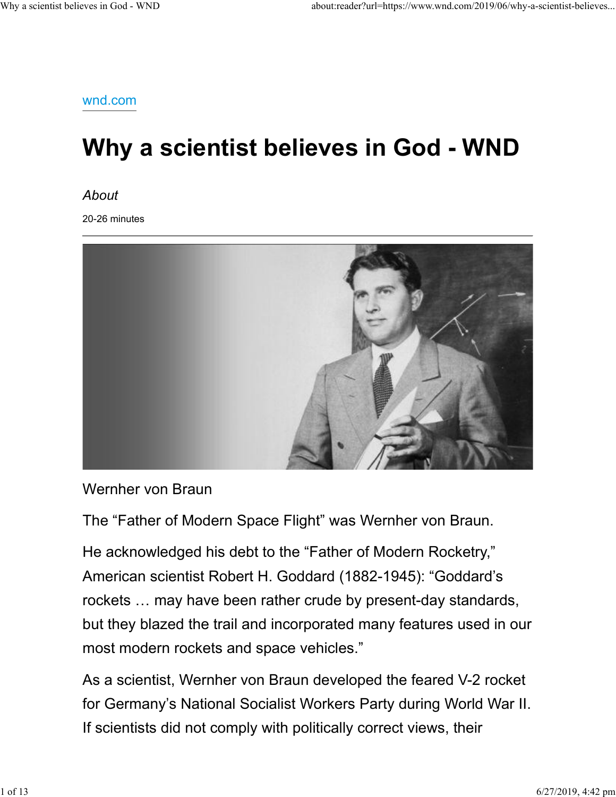wnd.com

## **Why a scientist believes in God - WND**

*About*

20-26 minutes



Wernher von Braun

The "Father of Modern Space Flight" was Wernher von Braun.

He acknowledged his debt to the "Father of Modern Rocketry," American scientist Robert H. Goddard (1882-1945): "Goddard's rockets … may have been rather crude by present-day standards, but they blazed the trail and incorporated many features used in our most modern rockets and space vehicles."

As a scientist, Wernher von Braun developed the feared V-2 rocket for Germany's National Socialist Workers Party during World War II. If scientists did not comply with politically correct views, their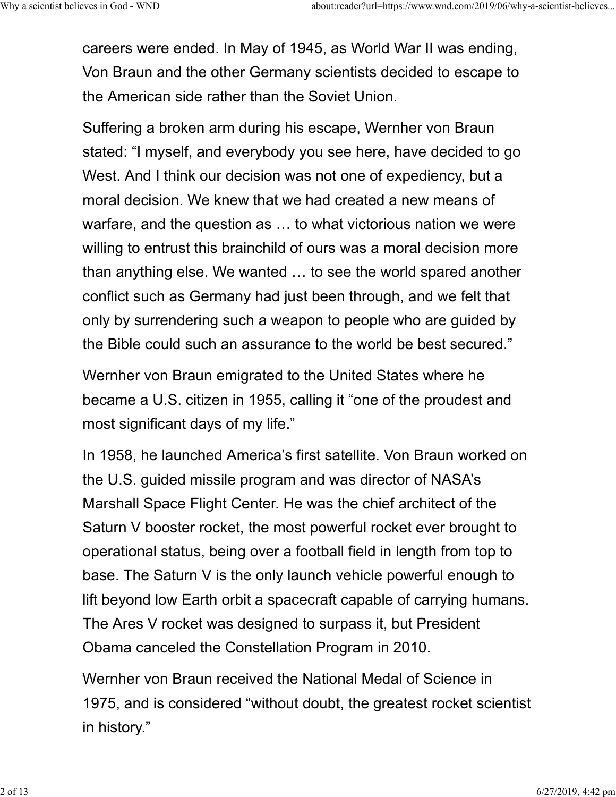careers were ended. In May of 1945, as World War II was ending, Von Braun and the other Germany scientists decided to escape to the American side rather than the Soviet Union.

Suffering a broken arm during his escape, Wernher von Braun stated: "I myself, and everybody you see here, have decided to go West. And I think our decision was not one of expediency, but a moral decision. We knew that we had created a new means of warfare, and the question as … to what victorious nation we were willing to entrust this brainchild of ours was a moral decision more than anything else. We wanted … to see the world spared another conflict such as Germany had just been through, and we felt that only by surrendering such a weapon to people who are guided by the Bible could such an assurance to the world be best secured."

Wernher von Braun emigrated to the United States where he became a U.S. citizen in 1955, calling it "one of the proudest and most significant days of my life."

In 1958, he launched America's first satellite. Von Braun worked on the U.S. guided missile program and was director of NASA's Marshall Space Flight Center. He was the chief architect of the Saturn V booster rocket, the most powerful rocket ever brought to operational status, being over a football field in length from top to base. The Saturn V is the only launch vehicle powerful enough to lift beyond low Earth orbit a spacecraft capable of carrying humans. The Ares V rocket was designed to surpass it, but President Obama canceled the Constellation Program in 2010.

Wernher von Braun received the National Medal of Science in 1975, and is considered "without doubt, the greatest rocket scientist in history."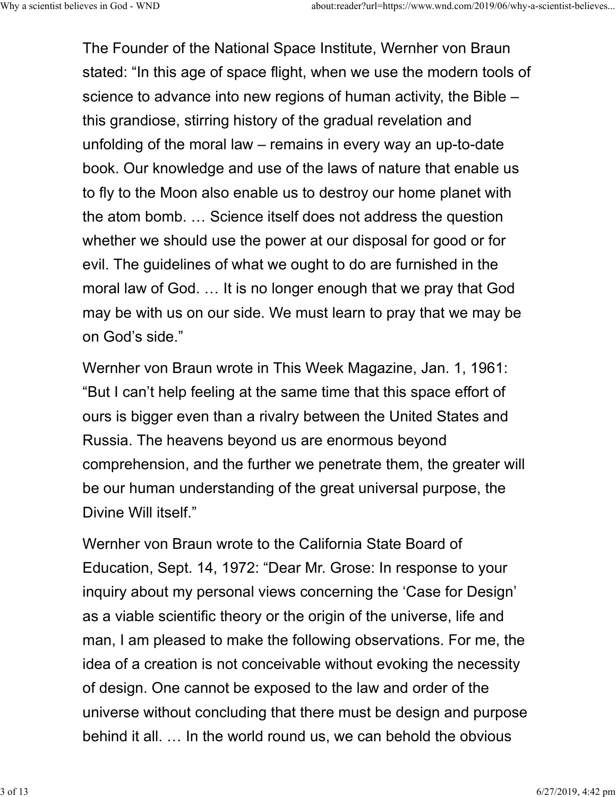The Founder of the National Space Institute, Wernher von Braun stated: "In this age of space flight, when we use the modern tools of science to advance into new regions of human activity, the Bible – this grandiose, stirring history of the gradual revelation and unfolding of the moral law – remains in every way an up-to-date book. Our knowledge and use of the laws of nature that enable us to fly to the Moon also enable us to destroy our home planet with the atom bomb. … Science itself does not address the question whether we should use the power at our disposal for good or for evil. The guidelines of what we ought to do are furnished in the moral law of God. … It is no longer enough that we pray that God may be with us on our side. We must learn to pray that we may be on God's side."

Wernher von Braun wrote in This Week Magazine, Jan. 1, 1961: "But I can't help feeling at the same time that this space effort of ours is bigger even than a rivalry between the United States and Russia. The heavens beyond us are enormous beyond comprehension, and the further we penetrate them, the greater will be our human understanding of the great universal purpose, the Divine Will itself."

Wernher von Braun wrote to the California State Board of Education, Sept. 14, 1972: "Dear Mr. Grose: In response to your inquiry about my personal views concerning the 'Case for Design' as a viable scientific theory or the origin of the universe, life and man, I am pleased to make the following observations. For me, the idea of a creation is not conceivable without evoking the necessity of design. One cannot be exposed to the law and order of the universe without concluding that there must be design and purpose behind it all. … In the world round us, we can behold the obvious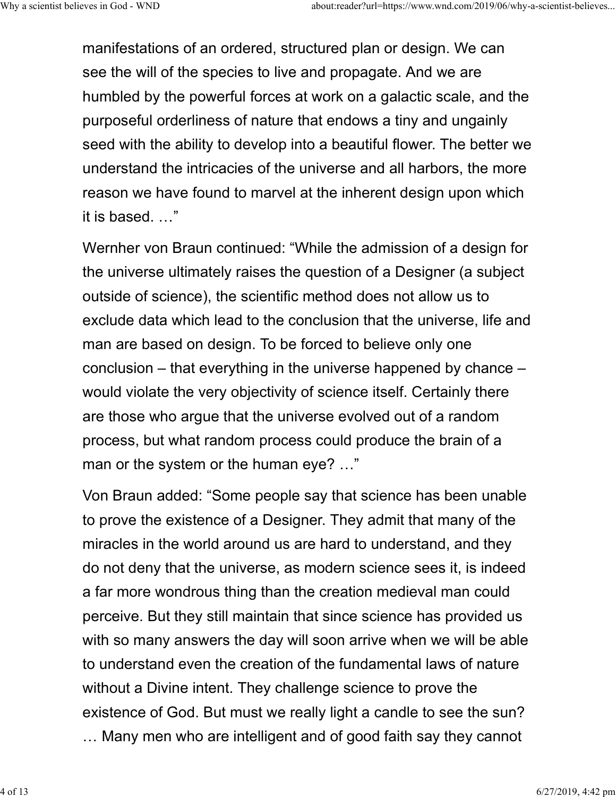manifestations of an ordered, structured plan or design. We can see the will of the species to live and propagate. And we are humbled by the powerful forces at work on a galactic scale, and the purposeful orderliness of nature that endows a tiny and ungainly seed with the ability to develop into a beautiful flower. The better we understand the intricacies of the universe and all harbors, the more reason we have found to marvel at the inherent design upon which it is based. …"

Wernher von Braun continued: "While the admission of a design for the universe ultimately raises the question of a Designer (a subject outside of science), the scientific method does not allow us to exclude data which lead to the conclusion that the universe, life and man are based on design. To be forced to believe only one conclusion – that everything in the universe happened by chance – would violate the very objectivity of science itself. Certainly there are those who argue that the universe evolved out of a random process, but what random process could produce the brain of a man or the system or the human eye? ..."

Von Braun added: "Some people say that science has been unable to prove the existence of a Designer. They admit that many of the miracles in the world around us are hard to understand, and they do not deny that the universe, as modern science sees it, is indeed a far more wondrous thing than the creation medieval man could perceive. But they still maintain that since science has provided us with so many answers the day will soon arrive when we will be able to understand even the creation of the fundamental laws of nature without a Divine intent. They challenge science to prove the existence of God. But must we really light a candle to see the sun? … Many men who are intelligent and of good faith say they cannot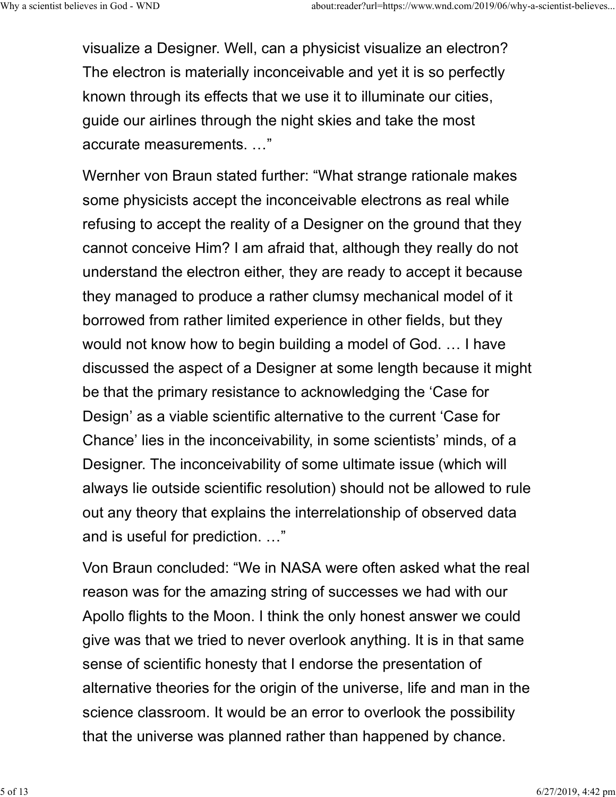visualize a Designer. Well, can a physicist visualize an electron? The electron is materially inconceivable and yet it is so perfectly known through its effects that we use it to illuminate our cities, guide our airlines through the night skies and take the most accurate measurements. …"

Wernher von Braun stated further: "What strange rationale makes some physicists accept the inconceivable electrons as real while refusing to accept the reality of a Designer on the ground that they cannot conceive Him? I am afraid that, although they really do not understand the electron either, they are ready to accept it because they managed to produce a rather clumsy mechanical model of it borrowed from rather limited experience in other fields, but they would not know how to begin building a model of God. … I have discussed the aspect of a Designer at some length because it might be that the primary resistance to acknowledging the 'Case for Design' as a viable scientific alternative to the current 'Case for Chance' lies in the inconceivability, in some scientists' minds, of a Designer. The inconceivability of some ultimate issue (which will always lie outside scientific resolution) should not be allowed to rule out any theory that explains the interrelationship of observed data and is useful for prediction. …"

Von Braun concluded: "We in NASA were often asked what the real reason was for the amazing string of successes we had with our Apollo flights to the Moon. I think the only honest answer we could give was that we tried to never overlook anything. It is in that same sense of scientific honesty that I endorse the presentation of alternative theories for the origin of the universe, life and man in the science classroom. It would be an error to overlook the possibility that the universe was planned rather than happened by chance.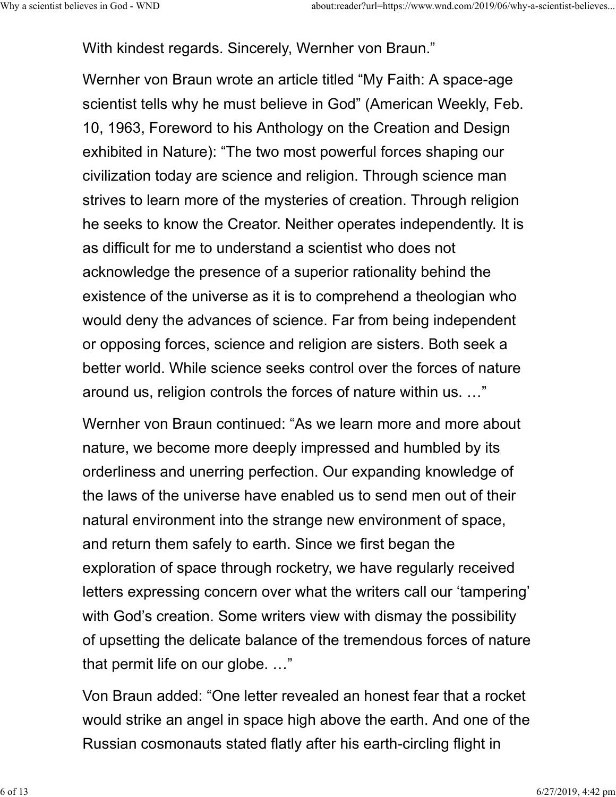With kindest regards. Sincerely, Wernher von Braun."

Wernher von Braun wrote an article titled "My Faith: A space-age scientist tells why he must believe in God" (American Weekly, Feb. 10, 1963, Foreword to his Anthology on the Creation and Design exhibited in Nature): "The two most powerful forces shaping our civilization today are science and religion. Through science man strives to learn more of the mysteries of creation. Through religion he seeks to know the Creator. Neither operates independently. It is as difficult for me to understand a scientist who does not acknowledge the presence of a superior rationality behind the existence of the universe as it is to comprehend a theologian who would deny the advances of science. Far from being independent or opposing forces, science and religion are sisters. Both seek a better world. While science seeks control over the forces of nature around us, religion controls the forces of nature within us. …"

Wernher von Braun continued: "As we learn more and more about nature, we become more deeply impressed and humbled by its orderliness and unerring perfection. Our expanding knowledge of the laws of the universe have enabled us to send men out of their natural environment into the strange new environment of space, and return them safely to earth. Since we first began the exploration of space through rocketry, we have regularly received letters expressing concern over what the writers call our 'tampering' with God's creation. Some writers view with dismay the possibility of upsetting the delicate balance of the tremendous forces of nature that permit life on our globe. …"

Von Braun added: "One letter revealed an honest fear that a rocket would strike an angel in space high above the earth. And one of the Russian cosmonauts stated flatly after his earth-circling flight in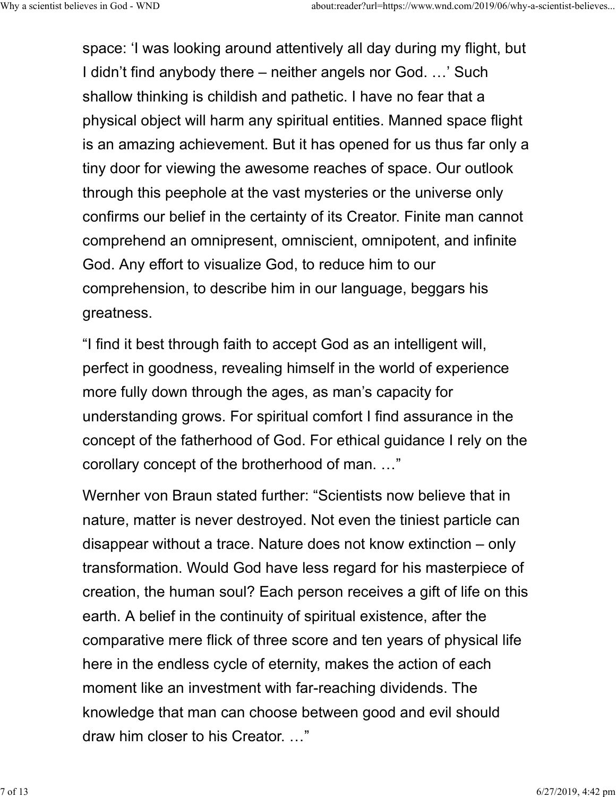space: 'I was looking around attentively all day during my flight, but I didn't find anybody there – neither angels nor God.  $\dots$ ' Such shallow thinking is childish and pathetic. I have no fear that a physical object will harm any spiritual entities. Manned space flight is an amazing achievement. But it has opened for us thus far only a tiny door for viewing the awesome reaches of space. Our outlook through this peephole at the vast mysteries or the universe only confirms our belief in the certainty of its Creator. Finite man cannot comprehend an omnipresent, omniscient, omnipotent, and infinite God. Any effort to visualize God, to reduce him to our comprehension, to describe him in our language, beggars his greatness.

"I find it best through faith to accept God as an intelligent will, perfect in goodness, revealing himself in the world of experience more fully down through the ages, as man's capacity for understanding grows. For spiritual comfort I find assurance in the concept of the fatherhood of God. For ethical guidance I rely on the corollary concept of the brotherhood of man. …"

Wernher von Braun stated further: "Scientists now believe that in nature, matter is never destroyed. Not even the tiniest particle can disappear without a trace. Nature does not know extinction – only transformation. Would God have less regard for his masterpiece of creation, the human soul? Each person receives a gift of life on this earth. A belief in the continuity of spiritual existence, after the comparative mere flick of three score and ten years of physical life here in the endless cycle of eternity, makes the action of each moment like an investment with far-reaching dividends. The knowledge that man can choose between good and evil should draw him closer to his Creator. …"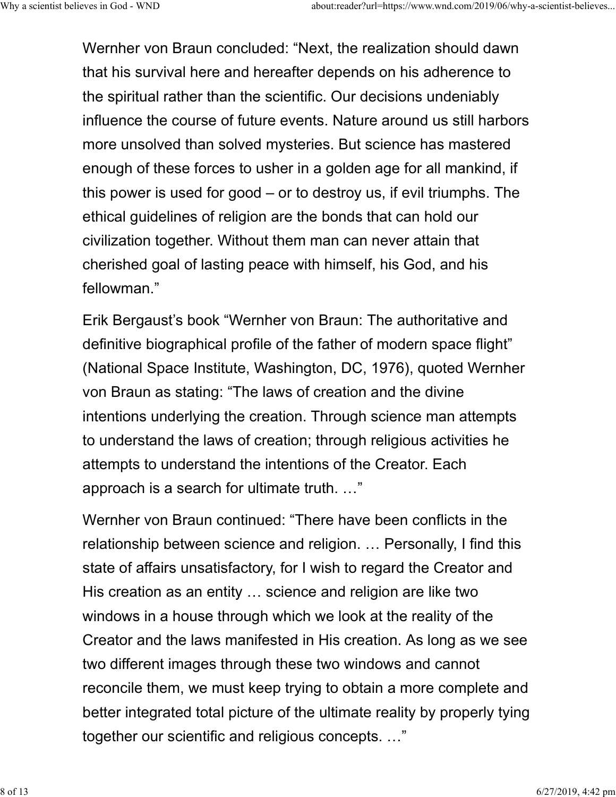Wernher von Braun concluded: "Next, the realization should dawn that his survival here and hereafter depends on his adherence to the spiritual rather than the scientific. Our decisions undeniably influence the course of future events. Nature around us still harbors more unsolved than solved mysteries. But science has mastered enough of these forces to usher in a golden age for all mankind, if this power is used for good – or to destroy us, if evil triumphs. The ethical guidelines of religion are the bonds that can hold our civilization together. Without them man can never attain that cherished goal of lasting peace with himself, his God, and his fellowman."

Erik Bergaust's book "Wernher von Braun: The authoritative and definitive biographical profile of the father of modern space flight" (National Space Institute, Washington, DC, 1976), quoted Wernher von Braun as stating: "The laws of creation and the divine intentions underlying the creation. Through science man attempts to understand the laws of creation; through religious activities he attempts to understand the intentions of the Creator. Each approach is a search for ultimate truth. …"

Wernher von Braun continued: "There have been conflicts in the relationship between science and religion. … Personally, I find this state of affairs unsatisfactory, for I wish to regard the Creator and His creation as an entity … science and religion are like two windows in a house through which we look at the reality of the Creator and the laws manifested in His creation. As long as we see two different images through these two windows and cannot reconcile them, we must keep trying to obtain a more complete and better integrated total picture of the ultimate reality by properly tying together our scientific and religious concepts. …"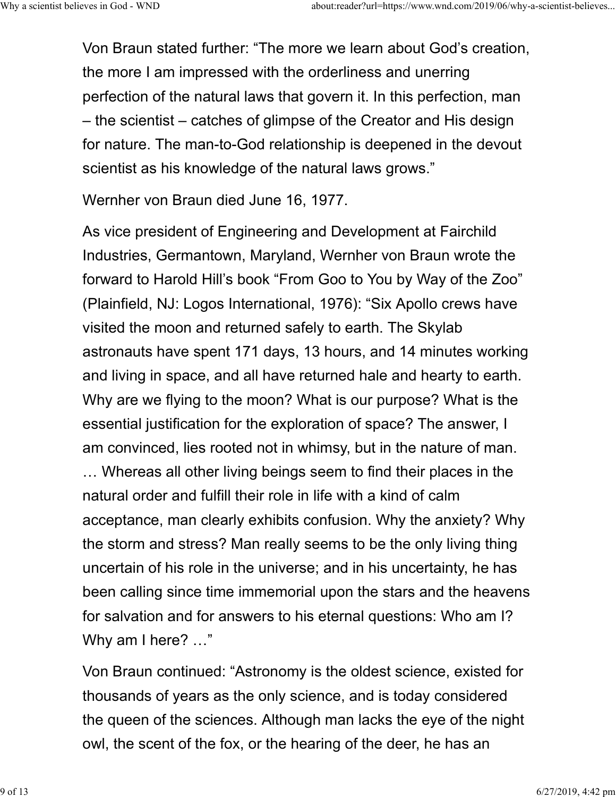Von Braun stated further: "The more we learn about God's creation, the more I am impressed with the orderliness and unerring perfection of the natural laws that govern it. In this perfection, man – the scientist – catches of glimpse of the Creator and His design for nature. The man-to-God relationship is deepened in the devout scientist as his knowledge of the natural laws grows."

Wernher von Braun died June 16, 1977.

As vice president of Engineering and Development at Fairchild Industries, Germantown, Maryland, Wernher von Braun wrote the forward to Harold Hill's book "From Goo to You by Way of the Zoo" (Plainfield, NJ: Logos International, 1976): "Six Apollo crews have visited the moon and returned safely to earth. The Skylab astronauts have spent 171 days, 13 hours, and 14 minutes working and living in space, and all have returned hale and hearty to earth. Why are we flying to the moon? What is our purpose? What is the essential justification for the exploration of space? The answer, I am convinced, lies rooted not in whimsy, but in the nature of man. … Whereas all other living beings seem to find their places in the natural order and fulfill their role in life with a kind of calm acceptance, man clearly exhibits confusion. Why the anxiety? Why the storm and stress? Man really seems to be the only living thing uncertain of his role in the universe; and in his uncertainty, he has been calling since time immemorial upon the stars and the heavens for salvation and for answers to his eternal questions: Who am I? Why am I here? …"

Von Braun continued: "Astronomy is the oldest science, existed for thousands of years as the only science, and is today considered the queen of the sciences. Although man lacks the eye of the night owl, the scent of the fox, or the hearing of the deer, he has an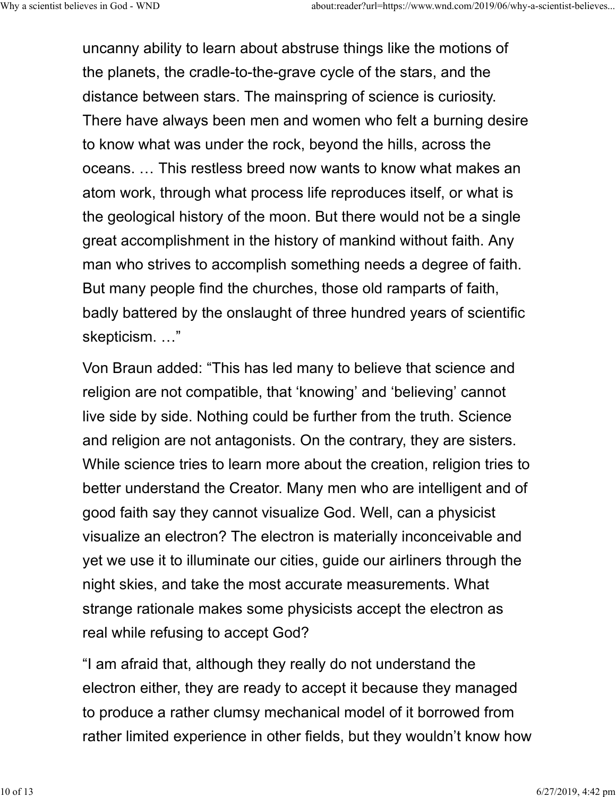uncanny ability to learn about abstruse things like the motions of the planets, the cradle-to-the-grave cycle of the stars, and the distance between stars. The mainspring of science is curiosity. There have always been men and women who felt a burning desire to know what was under the rock, beyond the hills, across the oceans. … This restless breed now wants to know what makes an atom work, through what process life reproduces itself, or what is the geological history of the moon. But there would not be a single great accomplishment in the history of mankind without faith. Any man who strives to accomplish something needs a degree of faith. But many people find the churches, those old ramparts of faith, badly battered by the onslaught of three hundred years of scientific skepticism. …"

Von Braun added: "This has led many to believe that science and religion are not compatible, that 'knowing' and 'believing' cannot live side by side. Nothing could be further from the truth. Science and religion are not antagonists. On the contrary, they are sisters. While science tries to learn more about the creation, religion tries to better understand the Creator. Many men who are intelligent and of good faith say they cannot visualize God. Well, can a physicist visualize an electron? The electron is materially inconceivable and yet we use it to illuminate our cities, guide our airliners through the night skies, and take the most accurate measurements. What strange rationale makes some physicists accept the electron as real while refusing to accept God?

"I am afraid that, although they really do not understand the electron either, they are ready to accept it because they managed to produce a rather clumsy mechanical model of it borrowed from rather limited experience in other fields, but they wouldn't know how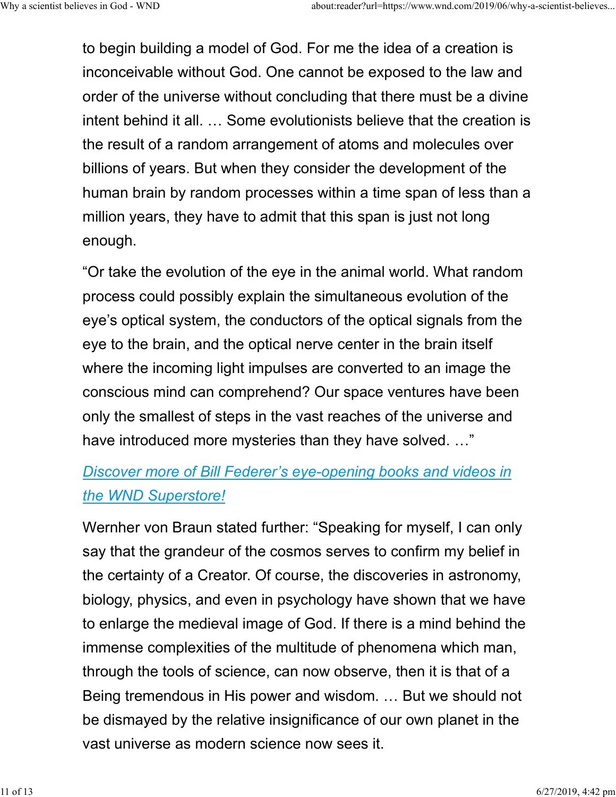to begin building a model of God. For me the idea of a creation is inconceivable without God. One cannot be exposed to the law and order of the universe without concluding that there must be a divine intent behind it all. … Some evolutionists believe that the creation is the result of a random arrangement of atoms and molecules over billions of years. But when they consider the development of the human brain by random processes within a time span of less than a million years, they have to admit that this span is just not long enough.

"Or take the evolution of the eye in the animal world. What random process could possibly explain the simultaneous evolution of the eye's optical system, the conductors of the optical signals from the eye to the brain, and the optical nerve center in the brain itself where the incoming light impulses are converted to an image the conscious mind can comprehend? Our space ventures have been only the smallest of steps in the vast reaches of the universe and have introduced more mysteries than they have solved. …"

## *Discover more of Bill Federer's eye-opening books and videos in the WND Superstore!*

Wernher von Braun stated further: "Speaking for myself, I can only say that the grandeur of the cosmos serves to confirm my belief in the certainty of a Creator. Of course, the discoveries in astronomy, biology, physics, and even in psychology have shown that we have to enlarge the medieval image of God. If there is a mind behind the immense complexities of the multitude of phenomena which man, through the tools of science, can now observe, then it is that of a Being tremendous in His power and wisdom. … But we should not be dismayed by the relative insignificance of our own planet in the vast universe as modern science now sees it.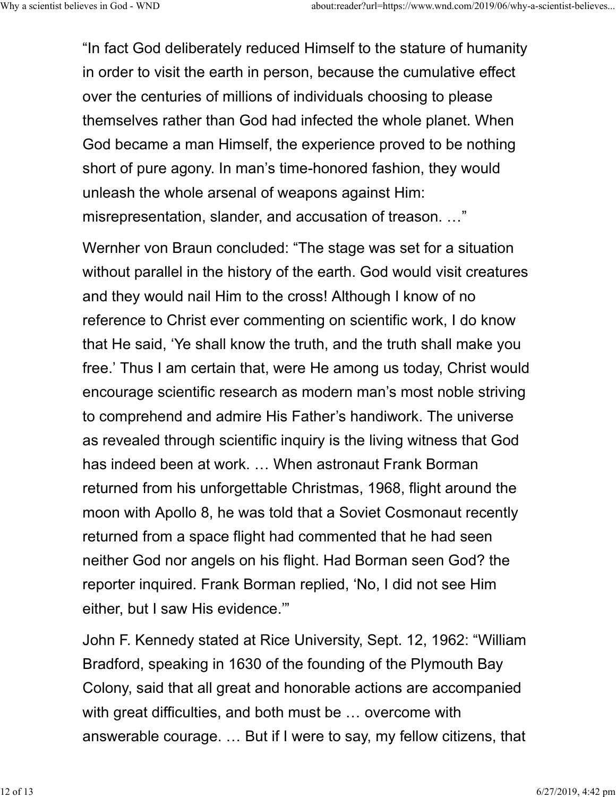"In fact God deliberately reduced Himself to the stature of humanity in order to visit the earth in person, because the cumulative effect over the centuries of millions of individuals choosing to please themselves rather than God had infected the whole planet. When God became a man Himself, the experience proved to be nothing short of pure agony. In man's time-honored fashion, they would unleash the whole arsenal of weapons against Him: misrepresentation, slander, and accusation of treason. …"

Wernher von Braun concluded: "The stage was set for a situation without parallel in the history of the earth. God would visit creatures and they would nail Him to the cross! Although I know of no reference to Christ ever commenting on scientific work, I do know that He said, 'Ye shall know the truth, and the truth shall make you free.' Thus I am certain that, were He among us today, Christ would encourage scientific research as modern man's most noble striving to comprehend and admire His Father's handiwork. The universe as revealed through scientific inquiry is the living witness that God has indeed been at work. … When astronaut Frank Borman returned from his unforgettable Christmas, 1968, flight around the moon with Apollo 8, he was told that a Soviet Cosmonaut recently returned from a space flight had commented that he had seen neither God nor angels on his flight. Had Borman seen God? the reporter inquired. Frank Borman replied, 'No, I did not see Him either, but I saw His evidence.'"

John F. Kennedy stated at Rice University, Sept. 12, 1962: "William Bradford, speaking in 1630 of the founding of the Plymouth Bay Colony, said that all great and honorable actions are accompanied with great difficulties, and both must be … overcome with answerable courage. … But if I were to say, my fellow citizens, that